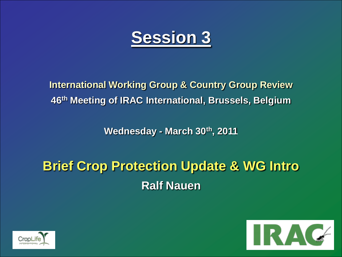

**International Working Group & Country Group Review 46th Meeting of IRAC International, Brussels, Belgium**

**Wednesday - March 30th, 2011**

# **Brief Crop Protection Update & WG Intro Ralf Nauen**



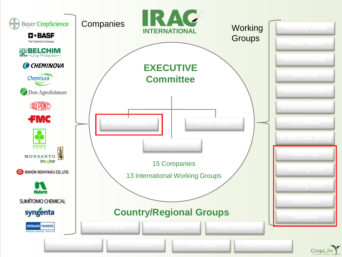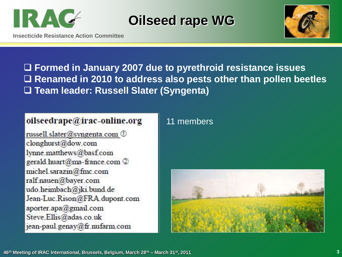

## **Oilseed rape WG**



**Insecticide Resistance Action Committee**

 **Formed in January 2007 due to pyrethroid resistance issues Renamed in 2010 to address also pests other than pollen beetles Team leader: Russell Slater (Syngenta)**

#### oilseedrape@irac-online.org

russell.slater@syngenta.com ① clonghurst@dow.com lynne.matthews@basf.com gerald.huart@ma-france.com 2 michel.sarazin@fmc.com ralf.nauen@bayer.com udo.heimbach@jki.bund.de Jean-Luc Rison@FRA.dupont.com aporter.apa@gmail.com Steve.Ellis@adas.co.uk jean-paul.genay@fr.nufarm.com

#### 11 members

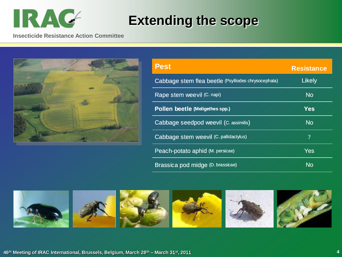

# **Extending the scope**

**Insecticide Resistance Action Committee**



| <b>Pest</b>                                         | <b>Resistance</b>        |
|-----------------------------------------------------|--------------------------|
| Cabbage stem flea beetle (Psylliodes chrysocephala) | Likely                   |
| Rape stem weevil (C. napi)                          | <b>No</b>                |
| Pollen beetle (Meligethes spp.)                     | <b>Yes</b>               |
| Cabbage seedpod weevil (C. assimilis)               | <b>No</b>                |
| Cabbage stem weevil (C. pallidactylus)              | $\overline{\mathcal{L}}$ |
| Peach-potato aphid (M. persicae)                    | Yes                      |
| Brassica pod midge (D. brassicae)                   | No                       |

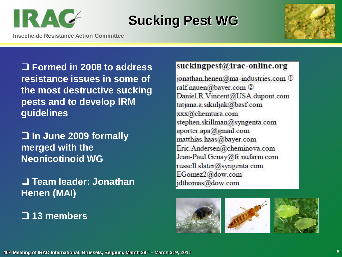

## **Sucking Pest WG**

**Insecticide Resistance Action Committee**



 **Formed in 2008 to address resistance issues in some of the most destructive sucking pests and to develop IRM guidelines**

 **In June 2009 formally merged with the Neonicotinoid WG**

 **Team leader: Jonathan Henen (MAI)**

**13 members** 

#### suckingpest@irac-online.org

jonathan.henen@ma-industries.com 1 ralf.nauen@bayer.com ② Daniel.R.Vincent@USA.dupont.com tatjana.a.sikuljak@basf.com xxx@chemtura.com stephen.skillman@syngenta.com aporter.apa@gmail.com matthias.haas@bayer.com Eric.Andersen@cheminova.com Jean-Paul.Genay@fr.nufarm.com russell.slater@syngenta.com EGomez2@dow.com jdthomas@dow.com





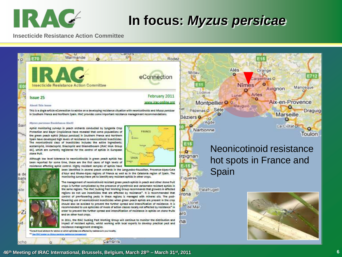

## **In focus:** *Myzus persicae*

**Insecticide Resistance Action Committee**



**46th Meeting of IRAC International, Brussels, Belgium, March 28th – March 31st, 2011 6**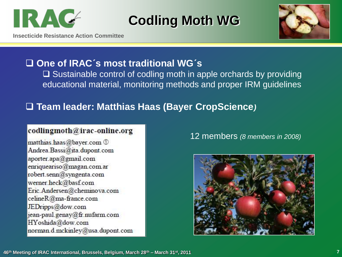

# **Codling Moth WG**





#### **One of IRAC´s most traditional WG´s**

 $\Box$  Sustainable control of codling moth in apple orchards by providing educational material, monitoring methods and proper IRM guidelines

#### **Team leader: Matthias Haas (Bayer CropScience***)*

#### codlingmoth@irac-online.org

matthias.haas@bayer.com 1 Andrea.Bassi@ita.dupont.com aporter.apa@gmail.com enriqueariso@magan.com.ar robert.senn@syngenta.com werner.heck@basf.com Eric.Andersen@cheminova.com celineR@ma-france.com JEDripps@dow.com jean-paul.genay@fr.nufarm.com HYoshida@dow.com norman.d.mckinley@usa.dupont.com 12 members *(8 members in 2008)*

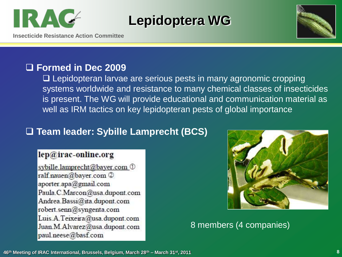

## **Lepidoptera WG**



**Insecticide Resistance Action Committee**

### **Formed in Dec 2009**

□ Lepidopteran larvae are serious pests in many agronomic cropping systems worldwide and resistance to many chemical classes of insecticides is present. The WG will provide educational and communication material as well as IRM tactics on key lepidopteran pests of global importance

### **Team leader: Sybille Lamprecht (BCS)**

#### lep@irac-online.org

sybille.lamprecht@bayer.com 1 ralf.nauen@bayer.com ② aporter.apa@gmail.com Paula.C.Marcon@usa.dupont.com Andrea.Bassi@ita.dupont.com robert.senn@syngenta.com Luis.A.Teixeira@usa.dupont.com Juan.M.Alvarez@usa.dupont.com paul.neese@basf.com



#### 8 members (4 companies)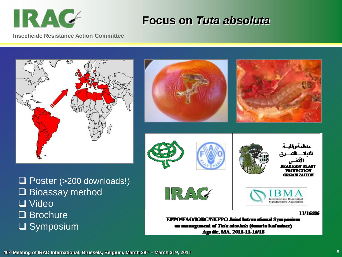**IRAC** 

### **Focus on** *Tuta absoluta*

**Insecticide Resistance Action Committee**

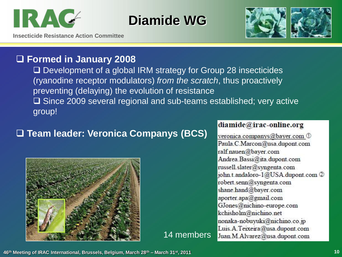

## **Diamide WG**



**Insecticide Resistance Action Committee**

### **Formed in January 2008**

□ Development of a global IRM strategy for Group 28 insecticides (ryanodine receptor modulators) *from the scratch*, thus proactively preventing (delaying) the evolution of resistance □ Since 2009 several regional and sub-teams established; very active group!

14 members

### **Team leader: Veronica Companys (BCS)**



#### diamide@irac-online.org

veronica.companys@bayer.com 1 Paula.C.Marcon@usa.dupont.com ralf.nauen@bayer.com Andrea. Bassi@ita.dupont.com russell.slater@syngenta.com john.t.andaloro-1@USA.dupont.com 2 robert.senn@syngenta.com shane.hand@bayer.com aporter.apa@gmail.com GJones@nichino-europe.com kchisholm@nichino.net nonaka-nobuyuki@nichino.co.jp Luis.A.Teixeira@usa.dupont.com Juan.M.Alvarez@usa.dupont.com